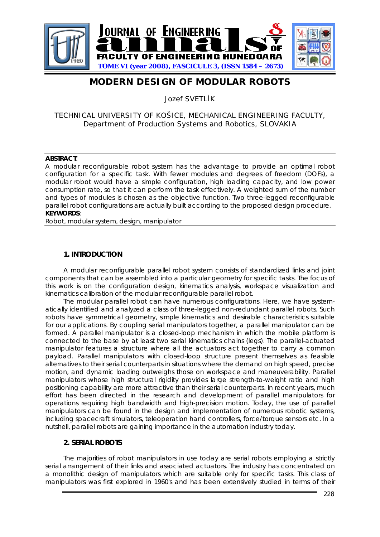

# **MODERN DESIGN OF MODULAR ROBOTS**

Jozef SVETLÍK

## TECHNICAL UNIVERSITY OF KOŠICE, MECHANICAL ENGINEERING FACULTY, [Department of Production Systems and Robotics,](http://www.sjf.tuke.sk/kvtar) SLOVAKIA

#### **ABSTRACT**:

A modular reconfigurable robot system has the advantage to provide an optimal robot configuration for a specific task. With fewer modules and degrees of freedom (DOFs), a modular robot would have a simple configuration, high loading capacity, and low power consumption rate, so that it can perform the task effectively. A weighted sum of the number and types of modules is chosen as the objective function. Two three-legged reconfigurable parallel robot configurations are actually built according to the proposed design procedure. **KEYWORDS**:

Robot, modular system, design, manipulator

## **1. INTRODUCTION**

A modular reconfigurable parallel robot system consists of standardized links and joint components that can be assembled into a particular geometry for specific tasks. The focus of this work is on the configuration design, kinematics analysis, workspace visualization and kinematics calibration of the modular reconfigurable parallel robot.

The modular parallel robot can have numerous configurations. Here, we have systematically identified and analyzed a class of three-legged non-redundant parallel robots. Such robots have symmetrical geometry, simple kinematics and desirable characteristics suitable for our applications. By coupling serial manipulators together, a parallel manipulator can be formed. A parallel manipulator is a closed-loop mechanism in which the mobile platform is connected to the base by at least two serial kinematics chains (legs). The parallel-actuated manipulator features a structure where all the actuators act together to carry a common payload. Parallel manipulators with closed-loop structure present themselves as feasible alternatives to their serial counterparts in situations where the demand on high speed, precise motion, and dynamic loading outweighs those on workspace and maneuverability. Parallel manipulators whose high structural rigidity provides large strength-to-weight ratio and high positioning capability are more attractive than their serial counterparts. In recent years, much effort has been directed in the research and development of parallel manipulators for operations requiring high bandwidth and high-precision motion. Today, the use of parallel manipulators can be found in the design and implementation of numerous robotic systems, including spacecraft simulators, teleoperation hand controllers, force/torque sensors etc. In a nutshell, parallel robots are gaining importance in the automation industry today.

## **2. SERIAL ROBOTS**

The majorities of robot manipulators in use today are serial robots employing a strictly serial arrangement of their links and associated actuators. The industry has concentrated on a monolithic design of manipulators which are suitable only for specific tasks. This class of manipulators was first explored in 1960's and has been extensively studied in terms of their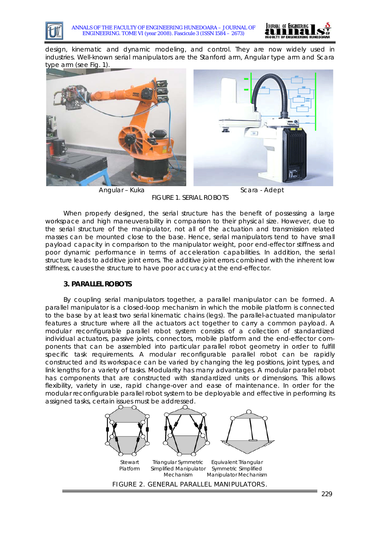



design, kinematic and dynamic modeling, and control. They are now widely used in industries. Well-known serial manipulators are the Stanford arm, Angular type arm and Scara type arm (see Fig. 1).



Angular – Kuka Scara - Adept FIGURE 1. SERIAL ROBOTS

When properly designed, the serial structure has the benefit of possessing a large workspace and high maneuverability in comparison to their physical size. However, due to the serial structure of the manipulator, not all of the actuation and transmission related masses can be mounted close to the base. Hence, serial manipulators tend to have small payload capacity in comparison to the manipulator weight, poor end-effector stiffness and poor dynamic performance in terms of acceleration capabilities. In addition, the serial structure leads to additive joint errors. The additive joint errors combined with the inherent low stiffness, causes the structure to have poor accuracy at the end-effector.

## **3. PARALLEL ROBOTS**

By coupling serial manipulators together, a parallel manipulator can be formed. A parallel manipulator is a closed-loop mechanism in which the mobile platform is connected to the base by at least two serial kinematic chains (legs). The parallel-actuated manipulator features a structure where all the actuators act together to carry a common payload. A modular reconfigurable parallel robot system consists of a collection of standardized individual actuators, passive joints, connectors, mobile platform and the end-effector components that can be assembled into particular parallel robot geometry in order to fulfill specific task requirements. A modular reconfigurable parallel robot can be rapidly constructed and its workspace can be varied by changing the leg positions, joint types, and link lengths for a variety of tasks. Modularity has many advantages. A modular parallel robot has components that are constructed with standardized units or dimensions. This allows flexibility, variety in use, rapid change-over and ease of maintenance. In order for the modular reconfigurable parallel robot system to be deployable and effective in performing its assigned tasks, certain issues must be addressed.

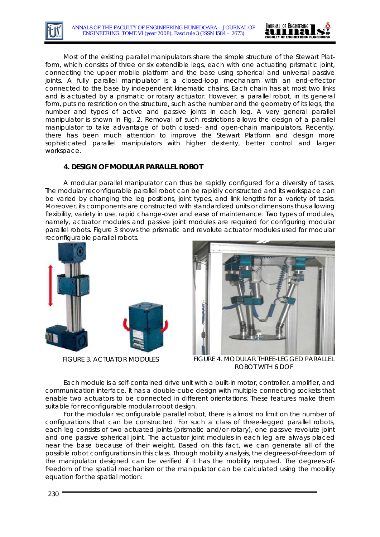

Most of the existing parallel manipulators share the simple structure of the Stewart Platform, which consists of three or six extendible legs, each with one actuating prismatic joint, connecting the upper mobile platform and the base using spherical and universal passive joints. A fully parallel manipulator is a closed-loop mechanism with an end-effector connected to the base by independent kinematic chains. Each chain has at most two links and is actuated by a prismatic or rotary actuator. However, a parallel robot, in its general form, puts no restriction on the structure, such as the number and the geometry of its legs, the number and types of active and passive joints in each leg. A very general parallel manipulator is shown in Fig. 2. Removal of such restrictions allows the design of a parallel manipulator to take advantage of both closed- and open-chain manipulators. Recently, there has been much attention to improve the Stewart Platform and design more sophisticated parallel manipulators with higher dexterity, better control and larger workspace.

## **4. DESIGN OF MODULAR PARALLEL ROBOT**

A modular parallel manipulator can thus be rapidly configured for a diversity of tasks. The modular reconfigurable parallel robot can be rapidly constructed and its workspace can be varied by changing the leg positions, joint types, and link lengths for a variety of tasks. Moreover, its components are constructed with standardized units or dimensions thus allowing flexibility, variety in use, rapid change-over and ease of maintenance. Two types of modules, namely, actuator modules and passive joint modules are required for configuring modular parallel robots. Figure 3 shows the prismatic and revolute actuator modules used for modular reconfigurable parallel robots.



FIGURE 3. ACTUATOR MODULES



FIGURE 4. MODULAR THREE-LEGGED PARALLEL ROBOT WITH 6 DOF

Each module is a self-contained drive unit with a built-in motor, controller, amplifier, and communication interface. It has a double-cube design with multiple connecting sockets that enable two actuators to be connected in different orientations. These features make them suitable for reconfigurable modular robot design.

For the modular reconfigurable parallel robot, there is almost no limit on the number of configurations that can be constructed. For such a class of three-legged parallel robots, each leg consists of two actuated joints (prismatic and/or rotary), one passive revolute joint and one passive spherical joint. The actuator joint modules in each leg are always placed near the base because of their weight. Based on this fact, we can generate all of the possible robot configurations in this class. Through mobility analysis, the degrees-of-freedom of the manipulator designed can be verified if it has the mobility required. The degrees-offreedom of the spatial mechanism or the manipulator can be calculated using the mobility equation for the spatial motion: